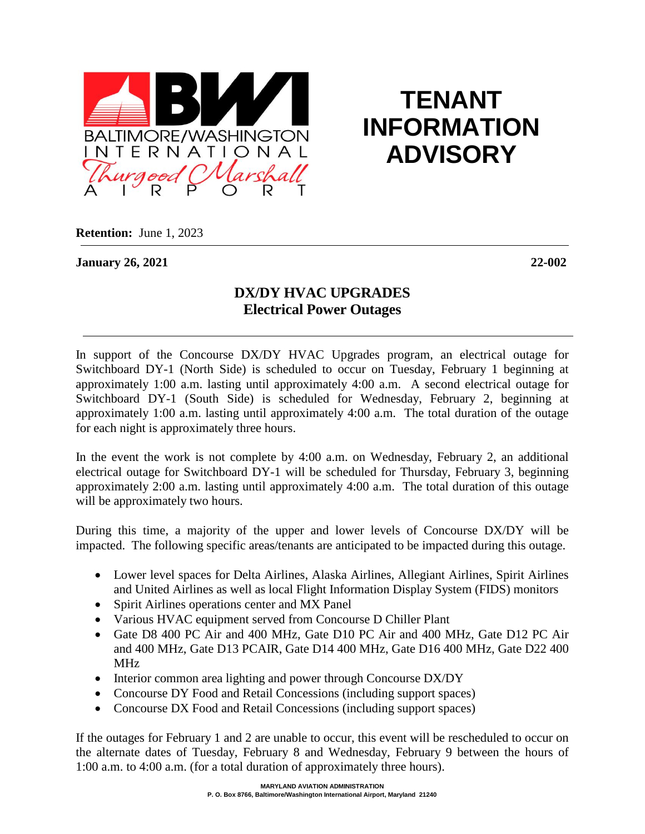

## **TENANT INFORMATION ADVISORY**

**Retention:** June 1, 2023

## **January 26, 2021 22-002**

## **DX/DY HVAC UPGRADES Electrical Power Outages**

In support of the Concourse DX/DY HVAC Upgrades program, an electrical outage for Switchboard DY-1 (North Side) is scheduled to occur on Tuesday, February 1 beginning at approximately 1:00 a.m. lasting until approximately 4:00 a.m. A second electrical outage for Switchboard DY-1 (South Side) is scheduled for Wednesday, February 2, beginning at approximately 1:00 a.m. lasting until approximately 4:00 a.m. The total duration of the outage for each night is approximately three hours.

In the event the work is not complete by 4:00 a.m. on Wednesday, February 2, an additional electrical outage for Switchboard DY-1 will be scheduled for Thursday, February 3, beginning approximately 2:00 a.m. lasting until approximately 4:00 a.m. The total duration of this outage will be approximately two hours.

During this time, a majority of the upper and lower levels of Concourse DX/DY will be impacted. The following specific areas/tenants are anticipated to be impacted during this outage.

- Lower level spaces for Delta Airlines, Alaska Airlines, Allegiant Airlines, Spirit Airlines and United Airlines as well as local Flight Information Display System (FIDS) monitors
- Spirit Airlines operations center and MX Panel
- Various HVAC equipment served from Concourse D Chiller Plant
- Gate D8 400 PC Air and 400 MHz, Gate D10 PC Air and 400 MHz, Gate D12 PC Air and 400 MHz, Gate D13 PCAIR, Gate D14 400 MHz, Gate D16 400 MHz, Gate D22 400 MHz
- Interior common area lighting and power through Concourse DX/DY
- Concourse DY Food and Retail Concessions (including support spaces)
- Concourse DX Food and Retail Concessions (including support spaces)

If the outages for February 1 and 2 are unable to occur, this event will be rescheduled to occur on the alternate dates of Tuesday, February 8 and Wednesday, February 9 between the hours of 1:00 a.m. to 4:00 a.m. (for a total duration of approximately three hours).